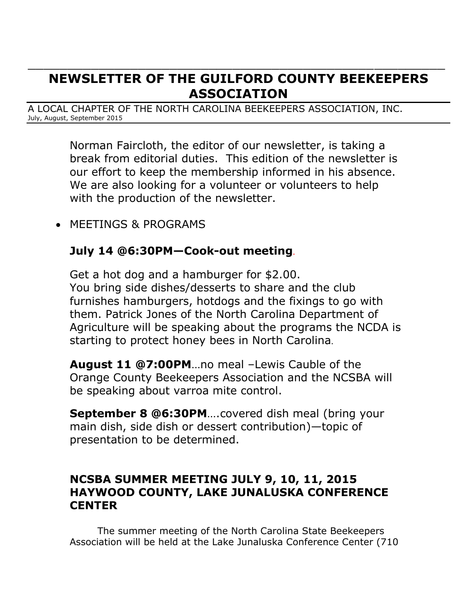# **NEWSLETTER OF THE GUILFORD COUNTY BEEKEEPERS ASSOCIATION**

 $\_$  . The contract of the contract of the contract of the contract of the contract of the contract of the contract of the contract of the contract of the contract of the contract of the contract of the contract of the con

A LOCAL CHAPTER OF THE NORTH CAROLINA BEEKEEPERS ASSOCIATION, INC. July, August, September 2015

> Norman Faircloth, the editor of our newsletter, is taking a break from editorial duties. This edition of the newsletter is our effort to keep the membership informed in his absence. We are also looking for a volunteer or volunteers to help with the production of the newsletter.

MEETINGS & PROGRAMS

# **July 14 @6:30PM—Cook-out meeting**.

Get a hot dog and a hamburger for \$2.00. You bring side dishes/desserts to share and the club furnishes hamburgers, hotdogs and the fixings to go with them. Patrick Jones of the North Carolina Department of Agriculture will be speaking about the programs the NCDA is starting to protect honey bees in North Carolina.

**August 11 @7:00PM**…no meal –Lewis Cauble of the Orange County Beekeepers Association and the NCSBA will be speaking about varroa mite control.

**September 8 @6:30PM**….covered dish meal (bring your main dish, side dish or dessert contribution)—topic of presentation to be determined.

# **NCSBA SUMMER MEETING JULY 9, 10, 11, 2015 HAYWOOD COUNTY, LAKE JUNALUSKA CONFERENCE CENTER**

The summer meeting of the North Carolina State Beekeepers Association will be held at the Lake Junaluska Conference Center (710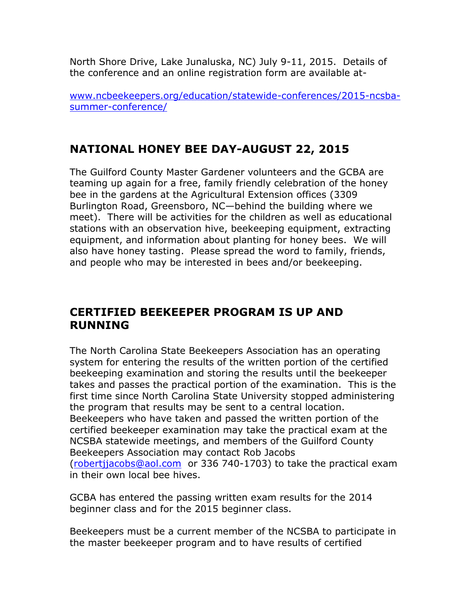North Shore Drive, Lake Junaluska, NC) July 9-11, 2015. Details of the conference and an online registration form are available at-

[www.ncbeekeepers.org/education/statewide-conferences/2015-ncsba](http://www.ncbeekeepers.org/education/statewide-conferences/2015-ncsba-summer-conference/)[summer-conference/](http://www.ncbeekeepers.org/education/statewide-conferences/2015-ncsba-summer-conference/)

# **NATIONAL HONEY BEE DAY-AUGUST 22, 2015**

The Guilford County Master Gardener volunteers and the GCBA are teaming up again for a free, family friendly celebration of the honey bee in the gardens at the Agricultural Extension offices (3309 Burlington Road, Greensboro, NC—behind the building where we meet). There will be activities for the children as well as educational stations with an observation hive, beekeeping equipment, extracting equipment, and information about planting for honey bees. We will also have honey tasting. Please spread the word to family, friends, and people who may be interested in bees and/or beekeeping.

#### **CERTIFIED BEEKEEPER PROGRAM IS UP AND RUNNING**

The North Carolina State Beekeepers Association has an operating system for entering the results of the written portion of the certified beekeeping examination and storing the results until the beekeeper takes and passes the practical portion of the examination. This is the first time since North Carolina State University stopped administering the program that results may be sent to a central location. Beekeepers who have taken and passed the written portion of the certified beekeeper examination may take the practical exam at the NCSBA statewide meetings, and members of the Guilford County Beekeepers Association may contact Rob Jacobs [\(robertjjacobs@aol.com](mailto:robertjjacobs@aol.com) or 336 740-1703) to take the practical exam in their own local bee hives.

GCBA has entered the passing written exam results for the 2014 beginner class and for the 2015 beginner class.

Beekeepers must be a current member of the NCSBA to participate in the master beekeeper program and to have results of certified